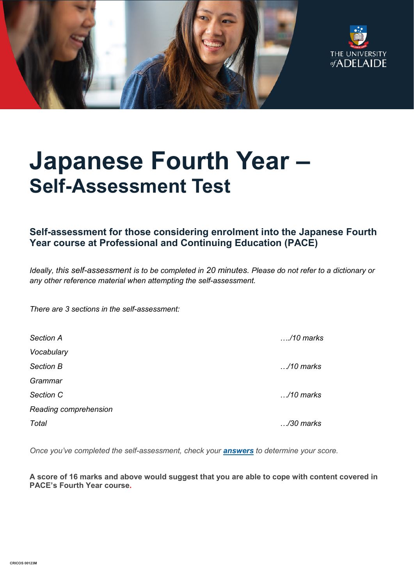



# **Japanese Fourth Year – Self-Assessment Test**

# **Self-assessment for those considering enrolment into the Japanese Fourth Year course at Professional and Continuing Education (PACE)**

*Ideally, this self-assessment is to be completed in 20 minutes. Please do not refer to a dictionary or any other reference material when attempting the self-assessment.*

*There are 3 sections in the self-assessment:*

| <b>Section A</b>      | /10 marks          |
|-----------------------|--------------------|
| Vocabulary            |                    |
| Section B             | $\ldots$ /10 marks |
| Grammar               |                    |
| Section C             | $\ldots$ /10 marks |
| Reading comprehension |                    |
| Total                 | /30 marks          |

*Once you've completed the self-assessment, check your [answers](https://www.adelaide.edu.au/pace/system/files/media/documents/2021-11/placement_test-japanese_year_4_answers.pdf) to determine your score.* 

**A score of 16 marks and above would suggest that you are able to cope with content covered in PACE's Fourth Year course.**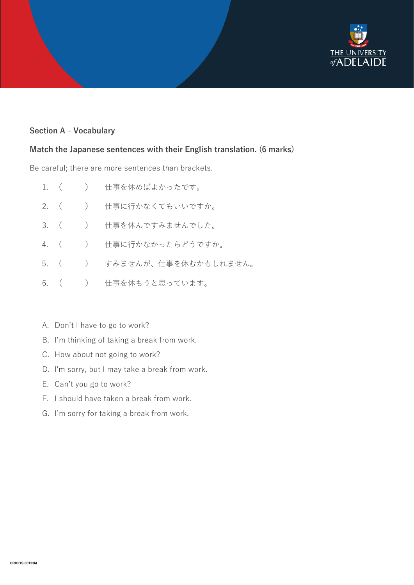

### **Section A – Vocabulary**

#### **Match the Japanese sentences with their English translation. (6 marks)**

Be careful; there are more sentences than brackets.

|  | 1. ( ) 仕事を休めばよかったです。        |
|--|-----------------------------|
|  | 2. ( ) 仕事に行かなくてもいいですか。      |
|  | 3. ( ) 仕事を休んですみませんでした。      |
|  | 4. ( ) 仕事に行かなかったらどうですか。     |
|  | 5. ( ) すみませんが、仕事を休むかもしれません。 |
|  | 6. (   )   仕事を休もうと思っています。   |

- A. Don't I have to go to work?
- B. I'm thinking of taking a break from work.
- C. How about not going to work?
- D. I'm sorry, but I may take a break from work.
- E. Can't you go to work?
- F. I should have taken a break from work.
- G. I'm sorry for taking a break from work.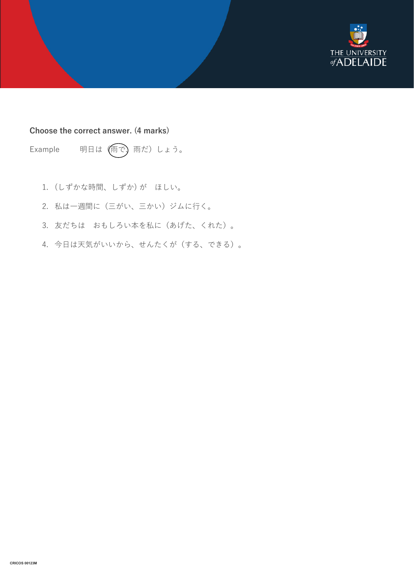

#### **Choose the correct answer. (4 marks)**

Example 明日は (雨で)雨だ)しょう。

- 1. (しずかな時間、しずか) が ほしい。
- 2. 私は一週間に(三がい、三かい)ジムに行く。
- 3. 友だちは おもしろい本を私に(あげた、くれた)。
- 4. 今日は天気がいいから、せんたくが(する、できる)。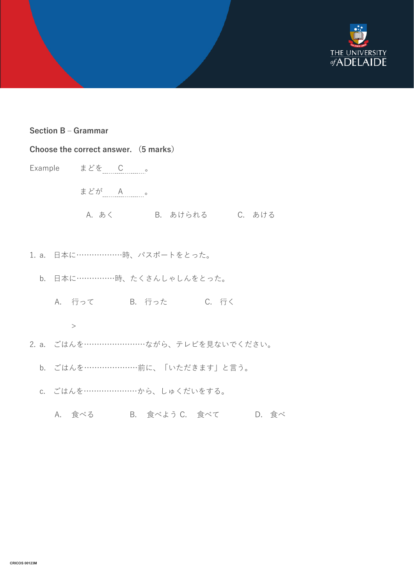

#### **Section B – Grammar**

| Choose the correct answer. (5 marks) |                                     |  |  |  |  |
|--------------------------------------|-------------------------------------|--|--|--|--|
|                                      | Example まどを C 。                     |  |  |  |  |
|                                      | まどが A 。                             |  |  |  |  |
|                                      | A. あく B. あけられる C. あける               |  |  |  |  |
|                                      |                                     |  |  |  |  |
|                                      | 1. a. 日本に…………………時、パスポートをとった。        |  |  |  |  |
|                                      | b. 日本に……………時、たくさんしゃしんをとった。          |  |  |  |  |
|                                      | A. 行って B. 行った C. 行く                 |  |  |  |  |
|                                      | $\geq$                              |  |  |  |  |
|                                      | 2. a. ごはんを……………………ながら、テレビを見ないでください。 |  |  |  |  |
|                                      | b. ごはんを…………………前に、「いただきます」と言う。       |  |  |  |  |
|                                      | c. ごはんを……………………から、しゅくだいをする。         |  |  |  |  |

A. 食べる B. 食べよう C. 食べて D. 食べ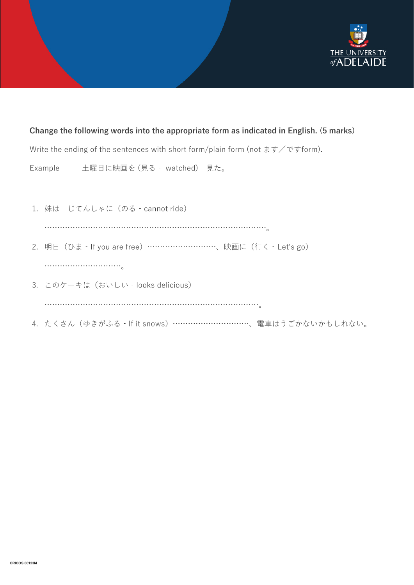

#### **Change the following words into the appropriate form as indicated in English. (5 marks)**

Write the ending of the sentences with short form/plain form (not  $\pm \pm \sqrt{\sigma}$ ) form).

Example 土曜日に映画を (見る‐ watched) 見た。

- 1. 妹は じてんしゃに (のる cannot ride) ……………………………………………………………………………。 2. 明日(ひま‐If you are free)………………………、映画に(行く‐Let's go) ………………………。 3. このケーキは(おいしい‐looks delicious) …………………………………………………………………………。
- 4. たくさん(ゆきがふる‐If it snows)…………………………、電車はうごかないかもしれない。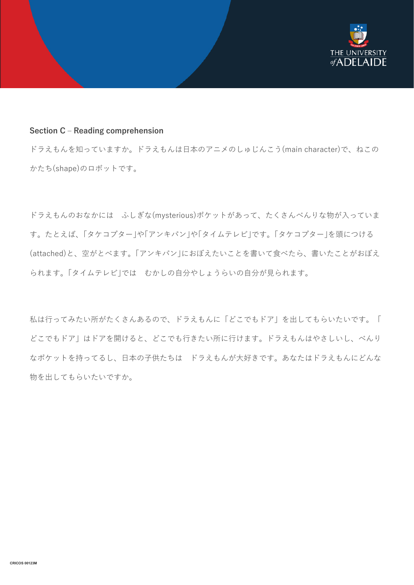

#### **Section C – Reading comprehension**

ドラえもんを知っていますか。ドラえもんは日本のアニメのしゅじんこう(main character)で、ねこの かたち(shape)のロボットです。

ドラえもんのおなかには ふしぎな(mysterious)ポケットがあって、たくさんべんりな物が入っていま す。たとえば、「タケコプター」や「アンキパン」や「タイムテレビ」です。「タケコプター」を頭につける (attached)と、空がとべます。「アンキパン」におぼえたいことを書いて食べたら、書いたことがおぼえ られます。「タイムテレビ」では むかしの自分やしょうらいの自分が見られます。

私は行ってみたい所がたくさんあるので、ドラえもんに「どこでもドア」を出してもらいたいです。「 どこでもドア」はドアを開けると、どこでも行きたい所に行けます。ドラえもんはやさしいし、べんり なポケットを持ってるし、日本の子供たちは ドラえもんが大好きです。あなたはドラえもんにどんな 物を出してもらいたいですか。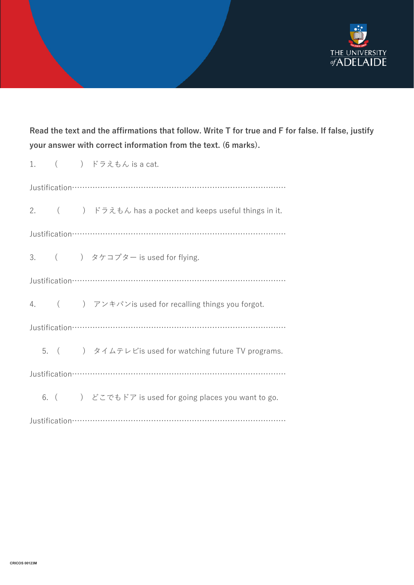

# **Read the text and the affirmations that follow. Write T for true and F for false. If false, justify your answer with correct information from the text. (6 marks).**

|  |  |  | 1. $($ $)\overline{\phantom{a}}$ $\overline{\phantom{a}}$ $\overline{\phantom{a}}$ $\overline{\phantom{a}}$ $\overline{\phantom{a}}$ $\overline{\phantom{a}}$ $\overline{\phantom{a}}$ $\overline{\phantom{a}}$ $\overline{\phantom{a}}$ $\overline{\phantom{a}}$ $\overline{\phantom{a}}$ $\overline{\phantom{a}}$ $\overline{\phantom{a}}$ $\overline{\phantom{a}}$ $\overline{\phantom{a}}$ $\overline{\phantom{a}}$ $\overline{\phantom{a}}$ $\overline{\phantom{a}}$ |  |  |
|--|--|--|---------------------------------------------------------------------------------------------------------------------------------------------------------------------------------------------------------------------------------------------------------------------------------------------------------------------------------------------------------------------------------------------------------------------------------------------------------------------------|--|--|
|  |  |  |                                                                                                                                                                                                                                                                                                                                                                                                                                                                           |  |  |
|  |  |  | 2. $($ $)$ $\forall$ $\forall$ $\forall$ $\forall$ $\forall$ $\forall$ has a pocket and keeps useful things in it.                                                                                                                                                                                                                                                                                                                                                        |  |  |
|  |  |  |                                                                                                                                                                                                                                                                                                                                                                                                                                                                           |  |  |
|  |  |  | 3. $($ $)$ $5\pi$ $7\pi$ $-$ is used for flying.                                                                                                                                                                                                                                                                                                                                                                                                                          |  |  |
|  |  |  |                                                                                                                                                                                                                                                                                                                                                                                                                                                                           |  |  |
|  |  |  | 4. () アンキパンis used for recalling things you forgot.                                                                                                                                                                                                                                                                                                                                                                                                                       |  |  |
|  |  |  |                                                                                                                                                                                                                                                                                                                                                                                                                                                                           |  |  |
|  |  |  | 5. ( ) タイムテレビis used for watching future TV programs.                                                                                                                                                                                                                                                                                                                                                                                                                     |  |  |
|  |  |  |                                                                                                                                                                                                                                                                                                                                                                                                                                                                           |  |  |
|  |  |  | 6. () どこでもドア is used for going places you want to go.                                                                                                                                                                                                                                                                                                                                                                                                                     |  |  |
|  |  |  |                                                                                                                                                                                                                                                                                                                                                                                                                                                                           |  |  |